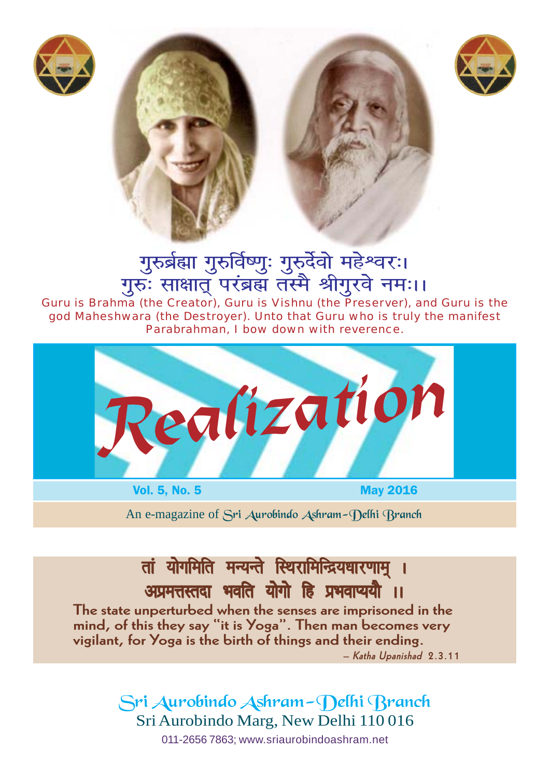





Guru is Brahma (the Creator), Guru is Vishnu (the Preserver), and Guru is the god Maheshwara (the Destroyer). Unto that Guru who is truly the manifest Parabrahman, I bow down with reverence.



An e-magazine of Sri Aurobindo Ashram-Delhi Branch

# तां योगमिति मन्यन्ते स्थिरामिन्द्रियधारणामु । अप्रमत्तस्तदा भवति योगो हि प्रभवाप्ययौ ।।

**The state unperturbed when the senses are imprisoned in the mind, of this they say "it is Yoga". Then man becomes very vigilant, for Yoga is the birth of things and their ending. – Katha Upanishad 2.3.11**

> Sri Aurobindo Ashram-Delhi Branch Sri Aurobindo Marg, New Delhi 110 016

> > 011-2656 7863; www.sriaurobindoashram.net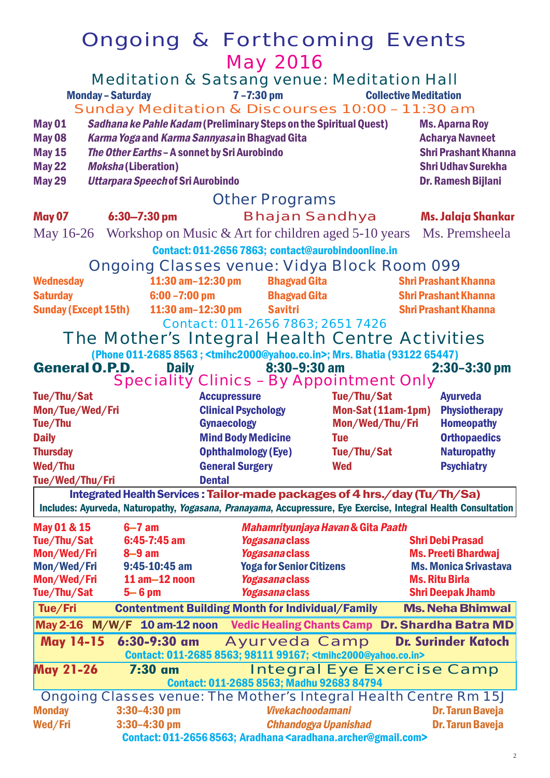|                                                                                                                                                                                                                                                       |                                                                                                                                                                                                                                                                  |                                                  | <b>Ongoing &amp; Forthcoming Events</b>                                                                                 |                                                                                                                |  |
|-------------------------------------------------------------------------------------------------------------------------------------------------------------------------------------------------------------------------------------------------------|------------------------------------------------------------------------------------------------------------------------------------------------------------------------------------------------------------------------------------------------------------------|--------------------------------------------------|-------------------------------------------------------------------------------------------------------------------------|----------------------------------------------------------------------------------------------------------------|--|
|                                                                                                                                                                                                                                                       |                                                                                                                                                                                                                                                                  |                                                  | May 2016                                                                                                                |                                                                                                                |  |
| Meditation & Satsang venue: Meditation Hall<br>$7 - 7:30$ pm<br><b>Collective Meditation</b><br><b>Monday - Saturday</b>                                                                                                                              |                                                                                                                                                                                                                                                                  |                                                  |                                                                                                                         |                                                                                                                |  |
| <b>May 01</b><br>Karma Yoga and Karma Sannyasa in Bhagvad Gita<br><b>May 08</b><br><b>May 15</b><br>The Other Earths - A sonnet by Sri Aurobindo<br><b>Moksha (Liberation)</b><br><b>May 22</b><br><b>May 29</b><br>Uttarpara Speech of Sri Aurobindo | Sunday Meditation & Discourses 10:00 - 11:30 am<br>Sadhana ke Pahle Kadam (Preliminary Steps on the Spiritual Quest)<br><b>Ms. Aparna Roy</b><br><b>Acharya Navneet</b><br><b>Shri Prashant Khanna</b><br><b>Shri Udhav Surekha</b><br><b>Dr. Ramesh Bijlani</b> |                                                  |                                                                                                                         |                                                                                                                |  |
|                                                                                                                                                                                                                                                       |                                                                                                                                                                                                                                                                  |                                                  | <b>Other Programs</b>                                                                                                   |                                                                                                                |  |
| May 07 6:30–7:30 pm                                                                                                                                                                                                                                   |                                                                                                                                                                                                                                                                  |                                                  |                                                                                                                         | Bhajan Sandhya <b>Ms. Jalaja Shankar</b>                                                                       |  |
|                                                                                                                                                                                                                                                       |                                                                                                                                                                                                                                                                  |                                                  |                                                                                                                         | May 16-26 Workshop on Music & Art for children aged 5-10 years Ms. Premsheela                                  |  |
|                                                                                                                                                                                                                                                       |                                                                                                                                                                                                                                                                  |                                                  | Contact: 011-2656 7863; contact@aurobindoonline.in                                                                      |                                                                                                                |  |
|                                                                                                                                                                                                                                                       |                                                                                                                                                                                                                                                                  |                                                  | Ongoing Classes venue: Vidya Block Room 099                                                                             |                                                                                                                |  |
| <b>Wednesday</b>                                                                                                                                                                                                                                      |                                                                                                                                                                                                                                                                  | 11:30 am-12:30 pm                                | <b>Bhagvad Gita</b>                                                                                                     | <b>Shri Prashant Khanna</b>                                                                                    |  |
| <b>Saturday</b>                                                                                                                                                                                                                                       |                                                                                                                                                                                                                                                                  | $6:00 - 7:00$ pm                                 | <b>Bhagvad Gita</b>                                                                                                     | <b>Shri Prashant Khanna</b>                                                                                    |  |
| <b>Sunday (Except 15th)</b>                                                                                                                                                                                                                           |                                                                                                                                                                                                                                                                  | 11:30 am-12:30 pm                                | <b>Savitri</b><br>Contact: 011-2656 7863; 2651 7426                                                                     | <b>Shri Prashant Khanna</b>                                                                                    |  |
|                                                                                                                                                                                                                                                       |                                                                                                                                                                                                                                                                  |                                                  | The Mother's Integral Health Centre Activities                                                                          |                                                                                                                |  |
|                                                                                                                                                                                                                                                       |                                                                                                                                                                                                                                                                  |                                                  | (Phone 011-2685 8563; <tmihc2000@yahoo.co.in>; Mrs. Bhatia (93122 65447)</tmihc2000@yahoo.co.in>                        |                                                                                                                |  |
| <b>General O.P.D.</b>                                                                                                                                                                                                                                 | <b>Daily</b>                                                                                                                                                                                                                                                     |                                                  | $8:30-9:30$ am                                                                                                          | $2:30 - 3:30$ pm                                                                                               |  |
|                                                                                                                                                                                                                                                       |                                                                                                                                                                                                                                                                  |                                                  | Speciality Clinics - By Appointment Only                                                                                |                                                                                                                |  |
|                                                                                                                                                                                                                                                       |                                                                                                                                                                                                                                                                  |                                                  |                                                                                                                         |                                                                                                                |  |
|                                                                                                                                                                                                                                                       |                                                                                                                                                                                                                                                                  |                                                  |                                                                                                                         |                                                                                                                |  |
| Tue/Thu/Sat                                                                                                                                                                                                                                           |                                                                                                                                                                                                                                                                  | <b>Accupressure</b>                              | Tue/Thu/Sat                                                                                                             | <b>Ayurveda</b>                                                                                                |  |
| Mon/Tue/Wed/Fri<br>Tue/Thu                                                                                                                                                                                                                            |                                                                                                                                                                                                                                                                  | <b>Clinical Psychology</b><br><b>Gynaecology</b> | Mon/Wed/Thu/Fri                                                                                                         | Mon-Sat (11am-1pm) Physiotherapy<br><b>Homeopathy</b>                                                          |  |
| <b>Daily</b>                                                                                                                                                                                                                                          |                                                                                                                                                                                                                                                                  | <b>Mind Body Medicine</b>                        | <b>Tue</b>                                                                                                              | <b>Orthopaedics</b>                                                                                            |  |
| <b>Thursday</b>                                                                                                                                                                                                                                       |                                                                                                                                                                                                                                                                  | <b>Ophthalmology (Eye)</b>                       | Tue/Thu/Sat                                                                                                             | <b>Naturopathy</b>                                                                                             |  |
| Wed/Thu                                                                                                                                                                                                                                               |                                                                                                                                                                                                                                                                  | <b>General Surgery</b>                           | <b>Wed</b>                                                                                                              | <b>Psychiatry</b>                                                                                              |  |
| Tue/Wed/Thu/Fri                                                                                                                                                                                                                                       |                                                                                                                                                                                                                                                                  | <b>Dental</b>                                    |                                                                                                                         |                                                                                                                |  |
|                                                                                                                                                                                                                                                       |                                                                                                                                                                                                                                                                  |                                                  | Integrated Health Services: Tailor-made packages of 4 hrs./day (Tu/Th/Sa)                                               |                                                                                                                |  |
|                                                                                                                                                                                                                                                       |                                                                                                                                                                                                                                                                  |                                                  |                                                                                                                         | Includes: Ayurveda, Naturopathy, Yogasana, Pranayama, Accupressure, Eye Exercise, Integral Health Consultation |  |
| May 01 & 15                                                                                                                                                                                                                                           | $6 - 7$ am                                                                                                                                                                                                                                                       |                                                  | Mahamrityunjaya Havan & Gita Paath                                                                                      |                                                                                                                |  |
| Tue/Thu/Sat                                                                                                                                                                                                                                           | 6:45-7:45 am                                                                                                                                                                                                                                                     |                                                  | <b>Yogasanaclass</b>                                                                                                    | <b>Shri Debi Prasad</b>                                                                                        |  |
| Mon/Wed/Fri                                                                                                                                                                                                                                           | $8-9$ am                                                                                                                                                                                                                                                         |                                                  | <b>Yogasanaclass</b>                                                                                                    | <b>Ms. Preeti Bhardwaj</b>                                                                                     |  |
| Mon/Wed/Fri                                                                                                                                                                                                                                           | $9:45-10:45$ am                                                                                                                                                                                                                                                  |                                                  | <b>Yoga for Senior Citizens</b>                                                                                         | <b>Ms. Monica Srivastava</b>                                                                                   |  |
| Mon/Wed/Fri                                                                                                                                                                                                                                           | 11 am-12 noon                                                                                                                                                                                                                                                    |                                                  | <b>Yogasanaclass</b>                                                                                                    | <b>Ms. Ritu Birla</b>                                                                                          |  |
| Tue/Thu/Sat                                                                                                                                                                                                                                           | $5 - 6$ pm                                                                                                                                                                                                                                                       |                                                  | <b>Yogasanaclass</b>                                                                                                    | <b>Shri Deepak Jhamb</b>                                                                                       |  |
| Tue/Fri                                                                                                                                                                                                                                               |                                                                                                                                                                                                                                                                  |                                                  | <b>Contentment Building Month for Individual/Family</b>                                                                 | <b>Ms. Neha Bhimwal</b>                                                                                        |  |
|                                                                                                                                                                                                                                                       | May 2-16 M/W/F 10 am-12 noon                                                                                                                                                                                                                                     |                                                  |                                                                                                                         | <b>Vedic Healing Chants Camp Dr. Shardha Batra MD</b>                                                          |  |
| <b>May 14-15</b>                                                                                                                                                                                                                                      | $6:30 - 9:30$ am                                                                                                                                                                                                                                                 |                                                  | Ayurveda Camp                                                                                                           | <b>Dr. Surinder Katoch</b>                                                                                     |  |
| <b>May 21-26</b>                                                                                                                                                                                                                                      | $7:30$ am                                                                                                                                                                                                                                                        |                                                  | Contact: 011-2685 8563; 98111 99167; <tmihc2000@yahoo.co.in></tmihc2000@yahoo.co.in>                                    |                                                                                                                |  |
|                                                                                                                                                                                                                                                       |                                                                                                                                                                                                                                                                  |                                                  | Contact: 011-2685 8563; Madhu 92683 84794                                                                               | <b>Integral Eye Exercise Camp</b>                                                                              |  |
|                                                                                                                                                                                                                                                       |                                                                                                                                                                                                                                                                  |                                                  |                                                                                                                         | Ongoing Classes venue: The Mother's Integral Health Centre Rm 15J                                              |  |
| <b>Monday</b>                                                                                                                                                                                                                                         | 3:30-4:30 pm                                                                                                                                                                                                                                                     |                                                  | <b>Vivekachoodamani</b>                                                                                                 | <b>Dr. Tarun Baveja</b>                                                                                        |  |
| Wed/Fri                                                                                                                                                                                                                                               | $3:30-4:30$ pm                                                                                                                                                                                                                                                   |                                                  | <b>Chhandogya Upanishad</b><br>Contact: 011-2656 8563; Aradhana <aradhana.archer@gmail.com></aradhana.archer@gmail.com> | <b>Dr. Tarun Baveja</b>                                                                                        |  |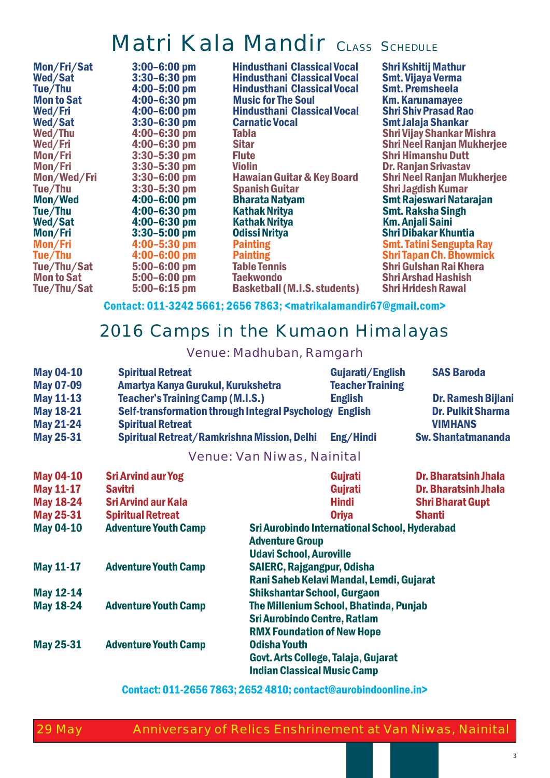# Matri Kala Mandir CLASS SCHEDULE

| Mon/Fri/Sat       | $3:00 - 6:00$ pm | <b>Hindusthani Classical Vocal</b>    |
|-------------------|------------------|---------------------------------------|
| Wed/Sat           | $3:30 - 6:30$ pm | <b>Hindusthani Classical Vocal</b>    |
| Tue/Thu           | $4:00 - 5:00$ pm | <b>Hindusthani Classical Vocal</b>    |
| <b>Mon to Sat</b> | $4:00 - 6:30$ pm | <b>Music for The Soul</b>             |
| Wed/Fri           | $4:00 - 6:00$ pm | <b>Hindusthani Classical Vocal</b>    |
| Wed/Sat           | $3:30-6:30$ pm   | <b>Carnatic Vocal</b>                 |
| Wed/Thu           | $4:00 - 6:30$ pm | <b>Tabla</b>                          |
| Wed/Fri           | $4:00 - 6:30$ pm | <b>Sitar</b>                          |
| Mon/Fri           | $3:30 - 5:30$ pm | <b>Flute</b>                          |
| Mon/Fri           | $3:30 - 5:30$ pm | <b>Violin</b>                         |
| Mon/Wed/Fri       | $3:30 - 6:00$ pm | <b>Hawaian Guitar &amp; Key Board</b> |
| Tue/Thu           | $3:30 - 5:30$ pm | <b>Spanish Guitar</b>                 |
| Mon/Wed           | $4:00 - 6:00$ pm | <b>Bharata Natyam</b>                 |
| Tue/Thu           | $4:00 - 6:30$ pm | <b>Kathak Nritya</b>                  |
| Wed/Sat           | $4:00 - 6:30$ pm | <b>Kathak Nritya</b>                  |
| Mon/Fri           | $3:30 - 5:00$ pm | <b>Odissi Nritya</b>                  |
| Mon/Fri           | $4:00 - 5:30$ pm | <b>Painting</b>                       |
| Tue/Thu           | $4:00 - 6:00$ pm | <b>Painting</b>                       |
| Tue/Thu/Sat       | $5:00 - 6:00$ pm | <b>Table Tennis</b>                   |
| <b>Mon to Sat</b> | $5:00 - 6:00$ pm | <b>Taekwondo</b>                      |
| Tue/Thu/Sat       | $5:00 - 6:15$ pm | <b>Basketball (M.I.S. students)</b>   |

Shri Kshitii Mathur Smt. Vijaya Verma **Smt. Premsheela** Km. Karunamayee **Shri Shiv Prasad Rao** Smt Jalaja Shankar Shri Vijay Shankar Mishra **Shri Neel Ranjan Mukherjee Shri Himanshu Dutt** Dr. Ranjan Srivastav **Shri Neel Ranjan Mukherjee** Shri Jagdish Kumar Smt Rajeswari Natarajan **Smt. Raksha Singh** Km. Anjali Saini Shri Dibakar Khuntia **Smt. Tatini Sengupta Ray Shri Tapan Ch. Bhowmick Shri Gulshan Rai Khera** Shri Arshad Hashish Shri Hridesh Rawal

Contact: 011-3242 5661; 2656 7863; <matrikalamandir67@gmail.com>

## 2016 Camps in the Kumaon Himalayas

### Venue: Madhuban, Ramgarh

| <b>May 04-10</b> | <b>Spiritual Retreat</b>                                | Gujarati/English        | <b>SAS Baroda</b>         |
|------------------|---------------------------------------------------------|-------------------------|---------------------------|
| <b>May 07-09</b> | Amartya Kanya Gurukul, Kurukshetra                      | <b>Teacher Training</b> |                           |
| <b>May 11-13</b> | <b>Teacher's Training Camp (M.I.S.)</b>                 | <b>English</b>          | <b>Dr. Ramesh Bijlani</b> |
| <b>May 18-21</b> | Self-transformation through Integral Psychology English |                         | <b>Dr. Pulkit Sharma</b>  |
| <b>May 21-24</b> | <b>Spiritual Retreat</b>                                |                         | <b>VIMHANS</b>            |
| <b>May 25-31</b> | Spiritual Retreat/Ramkrishna Mission, Delhi             | Eng/Hindi               | <b>Sw. Shantatmananda</b> |

### Venue: Van Niwas, Nainital

| <b>May 04-10</b> | <b>Sri Arvind aur Yog</b>   | Gujrati                                                                 | <b>Dr. Bharatsinh Jhala</b> |  |
|------------------|-----------------------------|-------------------------------------------------------------------------|-----------------------------|--|
| <b>May 11-17</b> | <b>Savitri</b>              | Gujrati                                                                 | <b>Dr. Bharatsinh Jhala</b> |  |
| <b>May 18-24</b> | <b>Sri Arvind aur Kala</b>  | <b>Hindi</b>                                                            | <b>Shri Bharat Gupt</b>     |  |
| <b>May 25-31</b> | <b>Spiritual Retreat</b>    | <b>Oriya</b>                                                            | <b>Shanti</b>               |  |
| <b>May 04-10</b> | <b>Adventure Youth Camp</b> | Sri Aurobindo International School, Hyderabad<br><b>Adventure Group</b> |                             |  |
|                  |                             | <b>Udavi School, Auroville</b>                                          |                             |  |
| <b>May 11-17</b> | <b>Adventure Youth Camp</b> | <b>SAIERC, Rajgangpur, Odisha</b>                                       |                             |  |
|                  |                             | Rani Saheb Kelavi Mandal, Lemdi, Gujarat                                |                             |  |
| <b>May 12-14</b> |                             | <b>Shikshantar School, Gurgaon</b>                                      |                             |  |
| <b>May 18-24</b> | <b>Adventure Youth Camp</b> | The Millenium School, Bhatinda, Punjab                                  |                             |  |
|                  |                             | <b>Sri Aurobindo Centre, Ratlam</b>                                     |                             |  |
|                  |                             | <b>RMX Foundation of New Hope</b>                                       |                             |  |
| <b>May 25-31</b> | <b>Adventure Youth Camp</b> | <b>Odisha Youth</b>                                                     |                             |  |
|                  |                             | Govt. Arts College, Talaja, Gujarat                                     |                             |  |
|                  |                             | <b>Indian Classical Music Camp</b>                                      |                             |  |

#### Contact: 011-2656 7863; 2652 4810; contact@aurobindoonline.in>

29 May Anniversary of Relics Enshrinement at Van Niwas, Nainital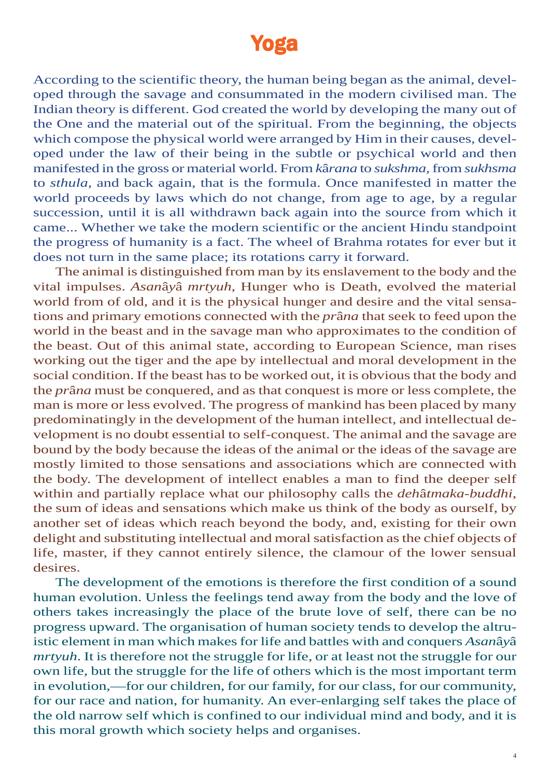# Yoga

According to the scientific theory, the human being began as the animal, developed through the savage and consummated in the modern civilised man. The Indian theory is different. God created the world by developing the many out of the One and the material out of the spiritual. From the beginning, the objects which compose the physical world were arranged by Him in their causes, developed under the law of their being in the subtle or psychical world and then manifested in the gross or material world. From *k*â*rana* to *sukshma*, from *sukhsma* to *sthula*, and back again, that is the formula. Once manifested in matter the world proceeds by laws which do not change, from age to age, by a regular succession, until it is all withdrawn back again into the source from which it came... Whether we take the modern scientific or the ancient Hindu standpoint the progress of humanity is a fact. The wheel of Brahma rotates for ever but it does not turn in the same place; its rotations carry it forward.

The animal is distinguished from man by its enslavement to the body and the vital impulses. *Asan*â*y*â *mrtyuh*, Hunger who is Death, evolved the material world from of old, and it is the physical hunger and desire and the vital sensations and primary emotions connected with the *pr*â*na* that seek to feed upon the world in the beast and in the savage man who approximates to the condition of the beast. Out of this animal state, according to European Science, man rises working out the tiger and the ape by intellectual and moral development in the social condition. If the beast has to be worked out, it is obvious that the body and the *pr*â*na* must be conquered, and as that conquest is more or less complete, the man is more or less evolved. The progress of mankind has been placed by many predominatingly in the development of the human intellect, and intellectual development is no doubt essential to self-conquest. The animal and the savage are bound by the body because the ideas of the animal or the ideas of the savage are mostly limited to those sensations and associations which are connected with the body. The development of intellect enables a man to find the deeper self within and partially replace what our philosophy calls the *deh*â*tmaka-buddhi*, the sum of ideas and sensations which make us think of the body as ourself, by another set of ideas which reach beyond the body, and, existing for their own delight and substituting intellectual and moral satisfaction as the chief objects of life, master, if they cannot entirely silence, the clamour of the lower sensual desires.

The development of the emotions is therefore the first condition of a sound human evolution. Unless the feelings tend away from the body and the love of others takes increasingly the place of the brute love of self, there can be no progress upward. The organisation of human society tends to develop the altruistic element in man which makes for life and battles with and conquers *Asan*â*y*â *mrtyuh*. It is therefore not the struggle for life, or at least not the struggle for our own life, but the struggle for the life of others which is the most important term in evolution,—for our children, for our family, for our class, for our community, for our race and nation, for humanity. An ever-enlarging self takes the place of the old narrow self which is confined to our individual mind and body, and it is this moral growth which society helps and organises.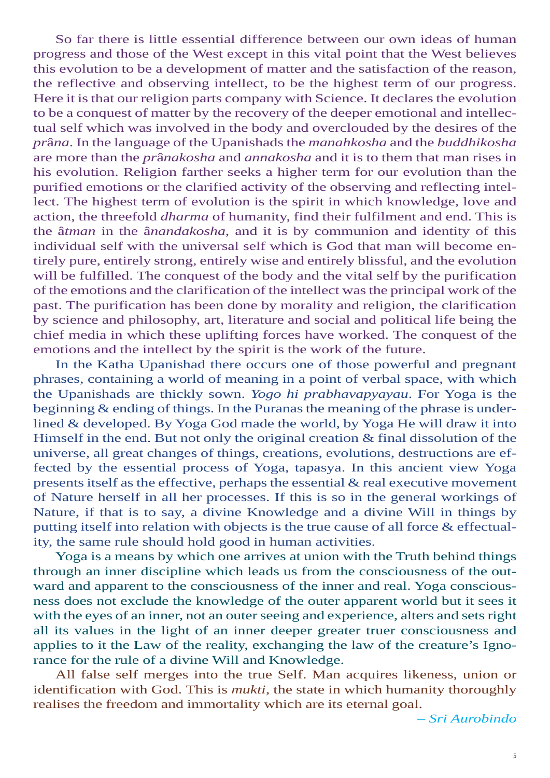So far there is little essential difference between our own ideas of human progress and those of the West except in this vital point that the West believes this evolution to be a development of matter and the satisfaction of the reason, the reflective and observing intellect, to be the highest term of our progress. Here it is that our religion parts company with Science. It declares the evolution to be a conquest of matter by the recovery of the deeper emotional and intellectual self which was involved in the body and overclouded by the desires of the *pr*â*na*. In the language of the Upanishads the *manahkosha* and the *buddhikosha* are more than the *pr*â*nakosha* and *annakosha* and it is to them that man rises in his evolution. Religion farther seeks a higher term for our evolution than the purified emotions or the clarified activity of the observing and reflecting intellect. The highest term of evolution is the spirit in which knowledge, love and action, the threefold *dharma* of humanity, find their fulfilment and end. This is the â*tman* in the â*nandakosha*, and it is by communion and identity of this individual self with the universal self which is God that man will become entirely pure, entirely strong, entirely wise and entirely blissful, and the evolution will be fulfilled. The conquest of the body and the vital self by the purification of the emotions and the clarification of the intellect was the principal work of the past. The purification has been done by morality and religion, the clarification by science and philosophy, art, literature and social and political life being the chief media in which these uplifting forces have worked. The conquest of the emotions and the intellect by the spirit is the work of the future.

In the Katha Upanishad there occurs one of those powerful and pregnant phrases, containing a world of meaning in a point of verbal space, with which the Upanishads are thickly sown. *Yogo hi prabhavapyayau*. For Yoga is the beginning & ending of things. In the Puranas the meaning of the phrase is underlined & developed. By Yoga God made the world, by Yoga He will draw it into Himself in the end. But not only the original creation & final dissolution of the universe, all great changes of things, creations, evolutions, destructions are effected by the essential process of Yoga, tapasya. In this ancient view Yoga presents itself as the effective, perhaps the essential & real executive movement of Nature herself in all her processes. If this is so in the general workings of Nature, if that is to say, a divine Knowledge and a divine Will in things by putting itself into relation with objects is the true cause of all force & effectuality, the same rule should hold good in human activities.

Yoga is a means by which one arrives at union with the Truth behind things through an inner discipline which leads us from the consciousness of the outward and apparent to the consciousness of the inner and real. Yoga consciousness does not exclude the knowledge of the outer apparent world but it sees it with the eyes of an inner, not an outer seeing and experience, alters and sets right all its values in the light of an inner deeper greater truer consciousness and applies to it the Law of the reality, exchanging the law of the creature's Ignorance for the rule of a divine Will and Knowledge.

All false self merges into the true Self. Man acquires likeness, union or identification with God. This is *mukti*, the state in which humanity thoroughly realises the freedom and immortality which are its eternal goal.

– *Sri Aurobindo*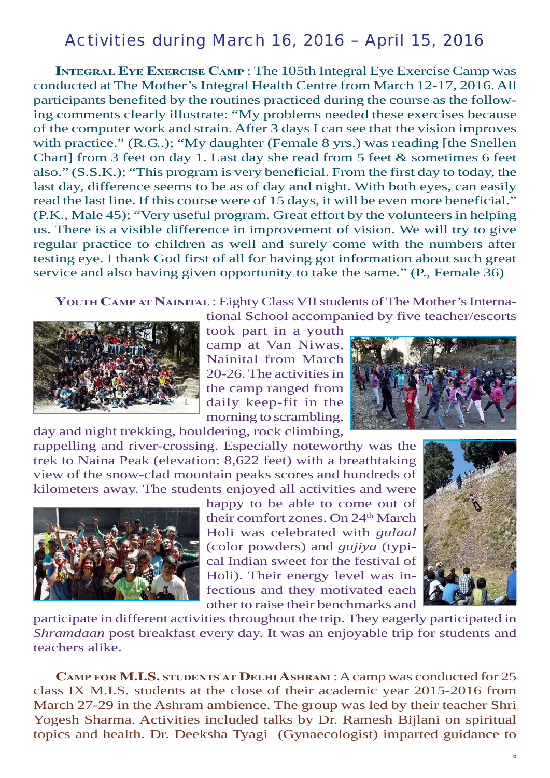## Activities during March 16, 2016 – April 15, 2016

**INTEGRAL EYE EXERCISE CAMP** : The 105th Integral Eye Exercise Camp was conducted at The Mother's Integral Health Centre from March 12-17, 2016. All participants benefited by the routines practiced during the course as the following comments clearly illustrate: "My problems needed these exercises because of the computer work and strain. After 3 days I can see that the vision improves with practice." (R.G..); "My daughter (Female 8 yrs.) was reading [the Snellen Chart] from 3 feet on day 1. Last day she read from 5 feet & sometimes 6 feet also." (S.S.K.); "This program is very beneficial. From the first day to today, the last day, difference seems to be as of day and night. With both eyes, can easily read the last line. If this course were of 15 days, it will be even more beneficial." (P.K., Male 45); "Very useful program. Great effort by the volunteers in helping us. There is a visible difference in improvement of vision. We will try to give regular practice to children as well and surely come with the numbers after testing eye. I thank God first of all for having got information about such great service and also having given opportunity to take the same." (P., Female 36)

**YOUTH CAMP AT NAINITAL** : Eighty Class VII students of The Mother's Interna-

tional School accompanied by five teacher/escorts



took part in a youth camp at Van Niwas, Nainital from March 20-26. The activities in the camp ranged from daily keep-fit in the morning to scrambling,

day and night trekking, bouldering, rock climbing, rappelling and river-crossing. Especially noteworthy was the trek to Naina Peak (elevation: 8,622 feet) with a breathtaking view of the snow-clad mountain peaks scores and hundreds of kilometers away. The students enjoyed all activities and were



happy to be able to come out of their comfort zones. On 24<sup>th</sup> March Holi was celebrated with *gulaal* (color powders) and *gujiya* (typical Indian sweet for the festival of Holi). Their energy level was infectious and they motivated each other to raise their benchmarks and



participate in different activities throughout the trip. They eagerly participated in *Shramdaan* post breakfast every day. It was an enjoyable trip for students and teachers alike.

**CAMP FOR M.I.S. STUDENTS AT DELHI ASHRAM** : A camp was conducted for 25 class IX M.I.S. students at the close of their academic year 2015-2016 from March 27-29 in the Ashram ambience. The group was led by their teacher Shri Yogesh Sharma. Activities included talks by Dr. Ramesh Bijlani on spiritual topics and health. Dr. Deeksha Tyagi (Gynaecologist) imparted guidance to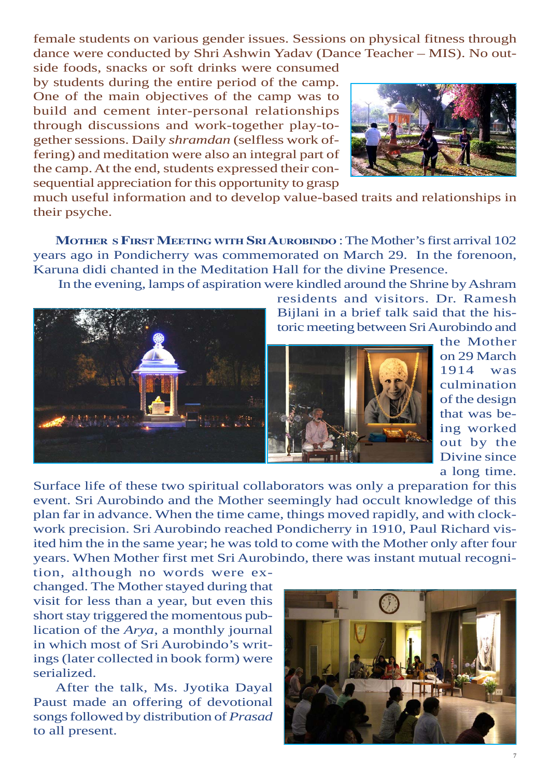female students on various gender issues. Sessions on physical fitness through dance were conducted by Shri Ashwin Yadav (Dance Teacher – MIS). No out-

side foods, snacks or soft drinks were consumed by students during the entire period of the camp. One of the main objectives of the camp was to build and cement inter-personal relationships through discussions and work-together play-together sessions. Daily *shramdan* (selfless work offering) and meditation were also an integral part of the camp. At the end, students expressed their consequential appreciation for this opportunity to grasp



much useful information and to develop value-based traits and relationships in their psyche.

**MOTHER S FIRST MEETING WITH SRI AUROBINDO** : The Mother's first arrival 102 years ago in Pondicherry was commemorated on March 29. In the forenoon, Karuna didi chanted in the Meditation Hall for the divine Presence.

In the evening, lamps of aspiration were kindled around the Shrine by Ashram





the Mother on 29 March 1914 was culmination of the design that was being worked out by the Divine since a long time.

Surface life of these two spiritual collaborators was only a preparation for this event. Sri Aurobindo and the Mother seemingly had occult knowledge of this plan far in advance. When the time came, things moved rapidly, and with clockwork precision. Sri Aurobindo reached Pondicherry in 1910, Paul Richard visited him the in the same year; he was told to come with the Mother only after four years. When Mother first met Sri Aurobindo, there was instant mutual recogni-

tion, although no words were exchanged. The Mother stayed during that visit for less than a year, but even this short stay triggered the momentous publication of the *Arya*, a monthly journal in which most of Sri Aurobindo's writings (later collected in book form) were serialized.

After the talk, Ms. Jyotika Dayal Paust made an offering of devotional songs followed by distribution of *Prasad* to all present.

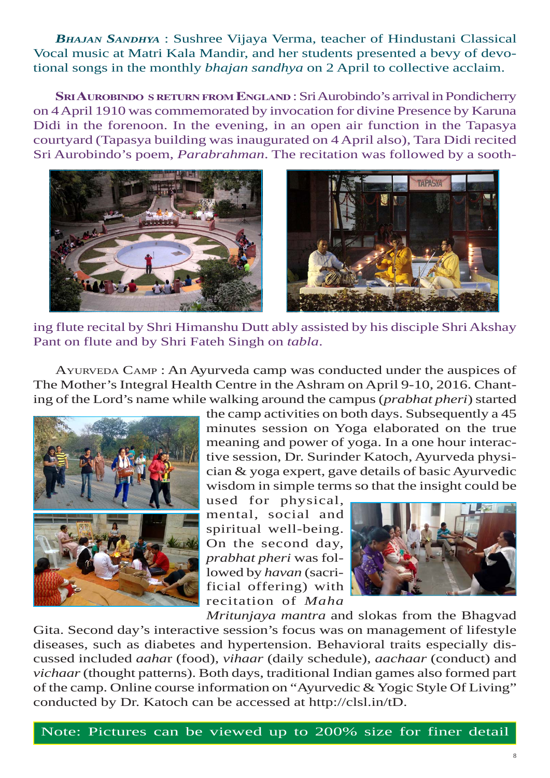*BHAJAN SANDHYA* : Sushree Vijaya Verma, teacher of Hindustani Classical Vocal music at Matri Kala Mandir, and her students presented a bevy of devotional songs in the monthly *bhajan sandhya* on 2 April to collective acclaim.

**SRI AUROBINDO <sup>S</sup> RETURN FROM ENGLAND** : Sri Aurobindo's arrival in Pondicherry on 4 April 1910 was commemorated by invocation for divine Presence by Karuna Didi in the forenoon. In the evening, in an open air function in the Tapasya courtyard (Tapasya building was inaugurated on 4 April also), Tara Didi recited Sri Aurobindo's poem, *Parabrahman*. The recitation was followed by a sooth-





ing flute recital by Shri Himanshu Dutt ably assisted by his disciple Shri Akshay Pant on flute and by Shri Fateh Singh on *tabla*.

AYURVEDA CAMP : An Ayurveda camp was conducted under the auspices of The Mother's Integral Health Centre in the Ashram on April 9-10, 2016. Chanting of the Lord's name while walking around the campus (*prabhat pheri*) started



the camp activities on both days. Subsequently a 45 minutes session on Yoga elaborated on the true meaning and power of yoga. In a one hour interactive session, Dr. Surinder Katoch, Ayurveda physician & yoga expert, gave details of basic Ayurvedic wisdom in simple terms so that the insight could be

used for physical, mental, social and spiritual well-being. On the second day, *prabhat pheri* was followed by *havan* (sacrificial offering) with recitation of *Maha*



*Mritunjaya mantra* and slokas from the Bhagvad Gita. Second day's interactive session's focus was on management of lifestyle diseases, such as diabetes and hypertension. Behavioral traits especially discussed included *aaha*r (food), *vihaar* (daily schedule), *aachaar* (conduct) and *vichaar* (thought patterns). Both days, traditional Indian games also formed part of the camp. Online course information on "Ayurvedic & Yogic Style Of Living" conducted by Dr. Katoch can be accessed at http://clsl.in/tD.

Note: Pictures can be viewed up to 200% size for finer detail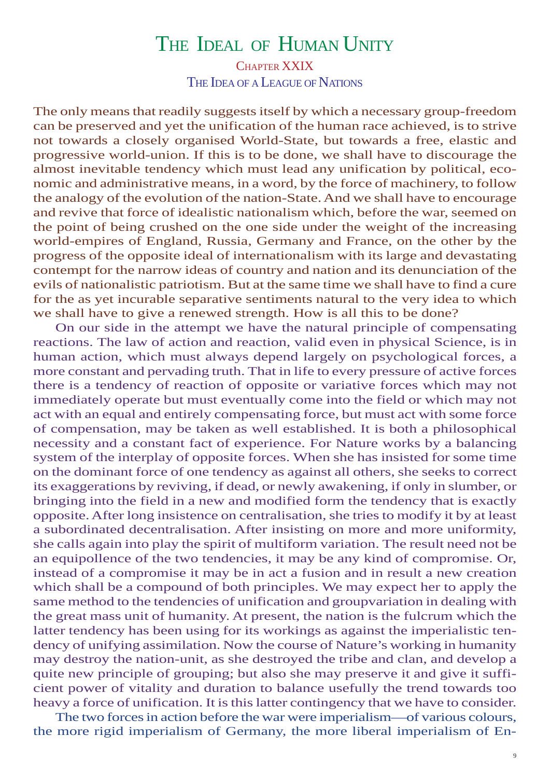## THE IDEAL OF HUMAN UNITY

CHAPTER XXIX THE IDEA OF A LEAGUE OF NATIONS

The only means that readily suggests itself by which a necessary group-freedom can be preserved and yet the unification of the human race achieved, is to strive not towards a closely organised World-State, but towards a free, elastic and progressive world-union. If this is to be done, we shall have to discourage the almost inevitable tendency which must lead any unification by political, economic and administrative means, in a word, by the force of machinery, to follow the analogy of the evolution of the nation-State. And we shall have to encourage and revive that force of idealistic nationalism which, before the war, seemed on the point of being crushed on the one side under the weight of the increasing world-empires of England, Russia, Germany and France, on the other by the progress of the opposite ideal of internationalism with its large and devastating contempt for the narrow ideas of country and nation and its denunciation of the evils of nationalistic patriotism. But at the same time we shall have to find a cure for the as yet incurable separative sentiments natural to the very idea to which we shall have to give a renewed strength. How is all this to be done?

On our side in the attempt we have the natural principle of compensating reactions. The law of action and reaction, valid even in physical Science, is in human action, which must always depend largely on psychological forces, a more constant and pervading truth. That in life to every pressure of active forces there is a tendency of reaction of opposite or variative forces which may not immediately operate but must eventually come into the field or which may not act with an equal and entirely compensating force, but must act with some force of compensation, may be taken as well established. It is both a philosophical necessity and a constant fact of experience. For Nature works by a balancing system of the interplay of opposite forces. When she has insisted for some time on the dominant force of one tendency as against all others, she seeks to correct its exaggerations by reviving, if dead, or newly awakening, if only in slumber, or bringing into the field in a new and modified form the tendency that is exactly opposite. After long insistence on centralisation, she tries to modify it by at least a subordinated decentralisation. After insisting on more and more uniformity, she calls again into play the spirit of multiform variation. The result need not be an equipollence of the two tendencies, it may be any kind of compromise. Or, instead of a compromise it may be in act a fusion and in result a new creation which shall be a compound of both principles. We may expect her to apply the same method to the tendencies of unification and groupvariation in dealing with the great mass unit of humanity. At present, the nation is the fulcrum which the latter tendency has been using for its workings as against the imperialistic tendency of unifying assimilation. Now the course of Nature's working in humanity may destroy the nation-unit, as she destroyed the tribe and clan, and develop a quite new principle of grouping; but also she may preserve it and give it sufficient power of vitality and duration to balance usefully the trend towards too heavy a force of unification. It is this latter contingency that we have to consider.

The two forces in action before the war were imperialism—of various colours, the more rigid imperialism of Germany, the more liberal imperialism of En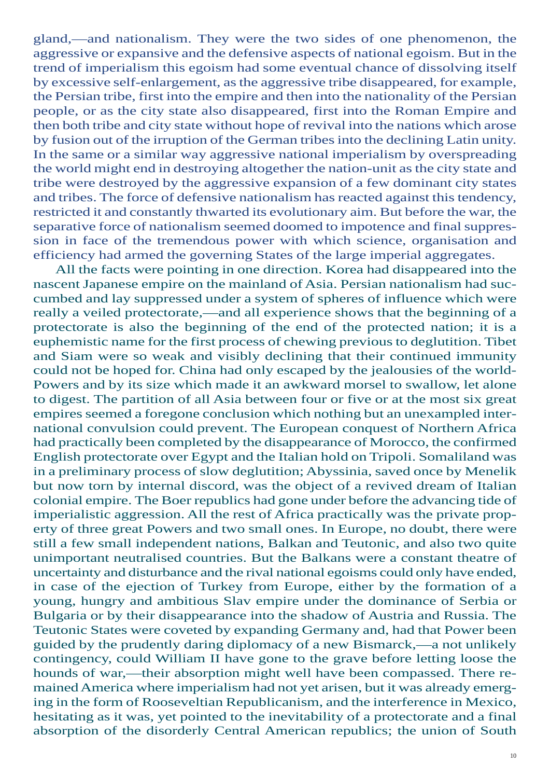gland,—and nationalism. They were the two sides of one phenomenon, the aggressive or expansive and the defensive aspects of national egoism. But in the trend of imperialism this egoism had some eventual chance of dissolving itself by excessive self-enlargement, as the aggressive tribe disappeared, for example, the Persian tribe, first into the empire and then into the nationality of the Persian people, or as the city state also disappeared, first into the Roman Empire and then both tribe and city state without hope of revival into the nations which arose by fusion out of the irruption of the German tribes into the declining Latin unity. In the same or a similar way aggressive national imperialism by overspreading the world might end in destroying altogether the nation-unit as the city state and tribe were destroyed by the aggressive expansion of a few dominant city states and tribes. The force of defensive nationalism has reacted against this tendency, restricted it and constantly thwarted its evolutionary aim. But before the war, the separative force of nationalism seemed doomed to impotence and final suppression in face of the tremendous power with which science, organisation and efficiency had armed the governing States of the large imperial aggregates.

All the facts were pointing in one direction. Korea had disappeared into the nascent Japanese empire on the mainland of Asia. Persian nationalism had succumbed and lay suppressed under a system of spheres of influence which were really a veiled protectorate,—and all experience shows that the beginning of a protectorate is also the beginning of the end of the protected nation; it is a euphemistic name for the first process of chewing previous to deglutition. Tibet and Siam were so weak and visibly declining that their continued immunity could not be hoped for. China had only escaped by the jealousies of the world-Powers and by its size which made it an awkward morsel to swallow, let alone to digest. The partition of all Asia between four or five or at the most six great empires seemed a foregone conclusion which nothing but an unexampled international convulsion could prevent. The European conquest of Northern Africa had practically been completed by the disappearance of Morocco, the confirmed English protectorate over Egypt and the Italian hold on Tripoli. Somaliland was in a preliminary process of slow deglutition; Abyssinia, saved once by Menelik but now torn by internal discord, was the object of a revived dream of Italian colonial empire. The Boer republics had gone under before the advancing tide of imperialistic aggression. All the rest of Africa practically was the private property of three great Powers and two small ones. In Europe, no doubt, there were still a few small independent nations, Balkan and Teutonic, and also two quite unimportant neutralised countries. But the Balkans were a constant theatre of uncertainty and disturbance and the rival national egoisms could only have ended, in case of the ejection of Turkey from Europe, either by the formation of a young, hungry and ambitious Slav empire under the dominance of Serbia or Bulgaria or by their disappearance into the shadow of Austria and Russia. The Teutonic States were coveted by expanding Germany and, had that Power been guided by the prudently daring diplomacy of a new Bismarck,—a not unlikely contingency, could William II have gone to the grave before letting loose the hounds of war,—their absorption might well have been compassed. There remained America where imperialism had not yet arisen, but it was already emerging in the form of Rooseveltian Republicanism, and the interference in Mexico, hesitating as it was, yet pointed to the inevitability of a protectorate and a final absorption of the disorderly Central American republics; the union of South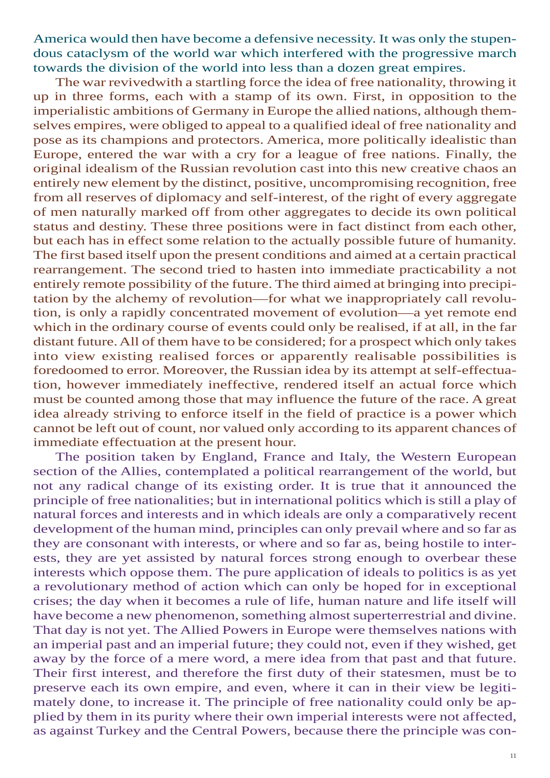America would then have become a defensive necessity. It was only the stupendous cataclysm of the world war which interfered with the progressive march towards the division of the world into less than a dozen great empires.

The war revivedwith a startling force the idea of free nationality, throwing it up in three forms, each with a stamp of its own. First, in opposition to the imperialistic ambitions of Germany in Europe the allied nations, although themselves empires, were obliged to appeal to a qualified ideal of free nationality and pose as its champions and protectors. America, more politically idealistic than Europe, entered the war with a cry for a league of free nations. Finally, the original idealism of the Russian revolution cast into this new creative chaos an entirely new element by the distinct, positive, uncompromising recognition, free from all reserves of diplomacy and self-interest, of the right of every aggregate of men naturally marked off from other aggregates to decide its own political status and destiny. These three positions were in fact distinct from each other, but each has in effect some relation to the actually possible future of humanity. The first based itself upon the present conditions and aimed at a certain practical rearrangement. The second tried to hasten into immediate practicability a not entirely remote possibility of the future. The third aimed at bringing into precipitation by the alchemy of revolution—for what we inappropriately call revolution, is only a rapidly concentrated movement of evolution—a yet remote end which in the ordinary course of events could only be realised, if at all, in the far distant future. All of them have to be considered; for a prospect which only takes into view existing realised forces or apparently realisable possibilities is foredoomed to error. Moreover, the Russian idea by its attempt at self-effectuation, however immediately ineffective, rendered itself an actual force which must be counted among those that may influence the future of the race. A great idea already striving to enforce itself in the field of practice is a power which cannot be left out of count, nor valued only according to its apparent chances of immediate effectuation at the present hour.

The position taken by England, France and Italy, the Western European section of the Allies, contemplated a political rearrangement of the world, but not any radical change of its existing order. It is true that it announced the principle of free nationalities; but in international politics which is still a play of natural forces and interests and in which ideals are only a comparatively recent development of the human mind, principles can only prevail where and so far as they are consonant with interests, or where and so far as, being hostile to interests, they are yet assisted by natural forces strong enough to overbear these interests which oppose them. The pure application of ideals to politics is as yet a revolutionary method of action which can only be hoped for in exceptional crises; the day when it becomes a rule of life, human nature and life itself will have become a new phenomenon, something almost superterrestrial and divine. That day is not yet. The Allied Powers in Europe were themselves nations with an imperial past and an imperial future; they could not, even if they wished, get away by the force of a mere word, a mere idea from that past and that future. Their first interest, and therefore the first duty of their statesmen, must be to preserve each its own empire, and even, where it can in their view be legitimately done, to increase it. The principle of free nationality could only be applied by them in its purity where their own imperial interests were not affected, as against Turkey and the Central Powers, because there the principle was con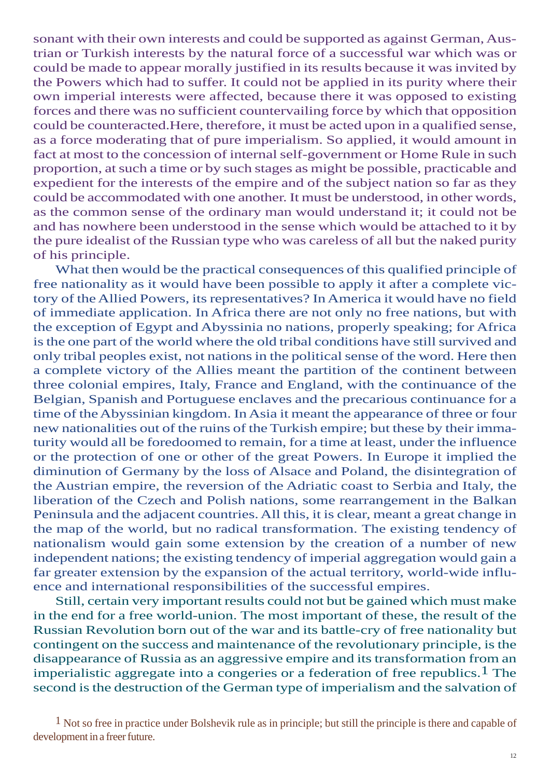sonant with their own interests and could be supported as against German, Austrian or Turkish interests by the natural force of a successful war which was or could be made to appear morally justified in its results because it was invited by the Powers which had to suffer. It could not be applied in its purity where their own imperial interests were affected, because there it was opposed to existing forces and there was no sufficient countervailing force by which that opposition could be counteracted.Here, therefore, it must be acted upon in a qualified sense, as a force moderating that of pure imperialism. So applied, it would amount in fact at most to the concession of internal self-government or Home Rule in such proportion, at such a time or by such stages as might be possible, practicable and expedient for the interests of the empire and of the subject nation so far as they could be accommodated with one another. It must be understood, in other words, as the common sense of the ordinary man would understand it; it could not be and has nowhere been understood in the sense which would be attached to it by the pure idealist of the Russian type who was careless of all but the naked purity of his principle.

What then would be the practical consequences of this qualified principle of free nationality as it would have been possible to apply it after a complete victory of the Allied Powers, its representatives? In America it would have no field of immediate application. In Africa there are not only no free nations, but with the exception of Egypt and Abyssinia no nations, properly speaking; for Africa is the one part of the world where the old tribal conditions have still survived and only tribal peoples exist, not nations in the political sense of the word. Here then a complete victory of the Allies meant the partition of the continent between three colonial empires, Italy, France and England, with the continuance of the Belgian, Spanish and Portuguese enclaves and the precarious continuance for a time of the Abyssinian kingdom. In Asia it meant the appearance of three or four new nationalities out of the ruins of the Turkish empire; but these by their immaturity would all be foredoomed to remain, for a time at least, under the influence or the protection of one or other of the great Powers. In Europe it implied the diminution of Germany by the loss of Alsace and Poland, the disintegration of the Austrian empire, the reversion of the Adriatic coast to Serbia and Italy, the liberation of the Czech and Polish nations, some rearrangement in the Balkan Peninsula and the adjacent countries. All this, it is clear, meant a great change in the map of the world, but no radical transformation. The existing tendency of nationalism would gain some extension by the creation of a number of new independent nations; the existing tendency of imperial aggregation would gain a far greater extension by the expansion of the actual territory, world-wide influence and international responsibilities of the successful empires.

Still, certain very important results could not but be gained which must make in the end for a free world-union. The most important of these, the result of the Russian Revolution born out of the war and its battle-cry of free nationality but contingent on the success and maintenance of the revolutionary principle, is the disappearance of Russia as an aggressive empire and its transformation from an imperialistic aggregate into a congeries or a federation of free republics.<sup>1</sup> The second is the destruction of the German type of imperialism and the salvation of

 $<sup>1</sup>$  Not so free in practice under Bolshevik rule as in principle; but still the principle is there and capable of</sup> development in a freer future.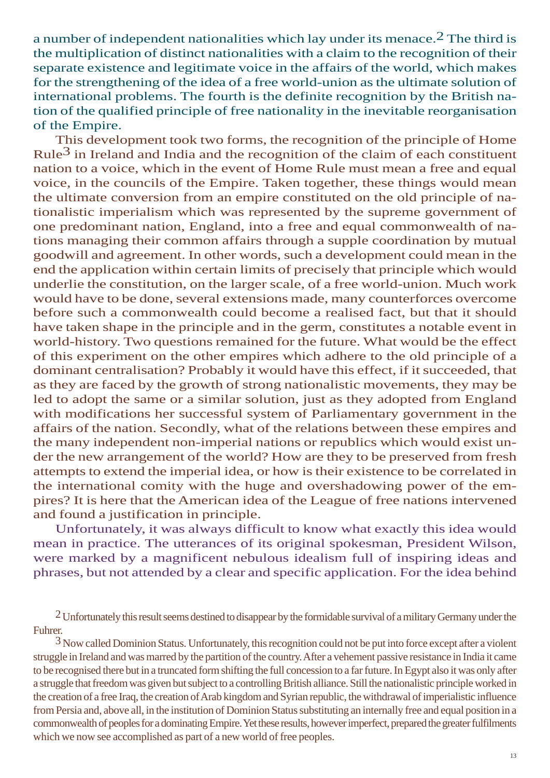a number of independent nationalities which lay under its menace.2 The third is the multiplication of distinct nationalities with a claim to the recognition of their separate existence and legitimate voice in the affairs of the world, which makes for the strengthening of the idea of a free world-union as the ultimate solution of international problems. The fourth is the definite recognition by the British nation of the qualified principle of free nationality in the inevitable reorganisation of the Empire.

This development took two forms, the recognition of the principle of Home Rule<sup>3</sup> in Ireland and India and the recognition of the claim of each constituent nation to a voice, which in the event of Home Rule must mean a free and equal voice, in the councils of the Empire. Taken together, these things would mean the ultimate conversion from an empire constituted on the old principle of nationalistic imperialism which was represented by the supreme government of one predominant nation, England, into a free and equal commonwealth of nations managing their common affairs through a supple coordination by mutual goodwill and agreement. In other words, such a development could mean in the end the application within certain limits of precisely that principle which would underlie the constitution, on the larger scale, of a free world-union. Much work would have to be done, several extensions made, many counterforces overcome before such a commonwealth could become a realised fact, but that it should have taken shape in the principle and in the germ, constitutes a notable event in world-history. Two questions remained for the future. What would be the effect of this experiment on the other empires which adhere to the old principle of a dominant centralisation? Probably it would have this effect, if it succeeded, that as they are faced by the growth of strong nationalistic movements, they may be led to adopt the same or a similar solution, just as they adopted from England with modifications her successful system of Parliamentary government in the affairs of the nation. Secondly, what of the relations between these empires and the many independent non-imperial nations or republics which would exist under the new arrangement of the world? How are they to be preserved from fresh attempts to extend the imperial idea, or how is their existence to be correlated in the international comity with the huge and overshadowing power of the empires? It is here that the American idea of the League of free nations intervened and found a justification in principle.

Unfortunately, it was always difficult to know what exactly this idea would mean in practice. The utterances of its original spokesman, President Wilson, were marked by a magnificent nebulous idealism full of inspiring ideas and phrases, but not attended by a clear and specific application. For the idea behind

<sup>2</sup> Unfortunately this result seems destined to disappear by the formidable survival of a military Germany under the Fuhrer.

3 Now called Dominion Status. Unfortunately, this recognition could not be put into force except after a violent struggle in Ireland and was marred by the partition of the country. After a vehement passive resistance in India it came to be recognised there but in a truncated form shifting the full concession to a far future. In Egypt also it was only after a struggle that freedom was given but subject to a controlling British alliance. Still the nationalistic principle worked in the creation of a free Iraq, the creation of Arab kingdom and Syrian republic, the withdrawal of imperialistic influence from Persia and, above all, in the institution of Dominion Status substituting an internally free and equal position in a commonwealth of peoples for a dominating Empire. Yet these results, however imperfect, prepared the greater fulfilments which we now see accomplished as part of a new world of free peoples.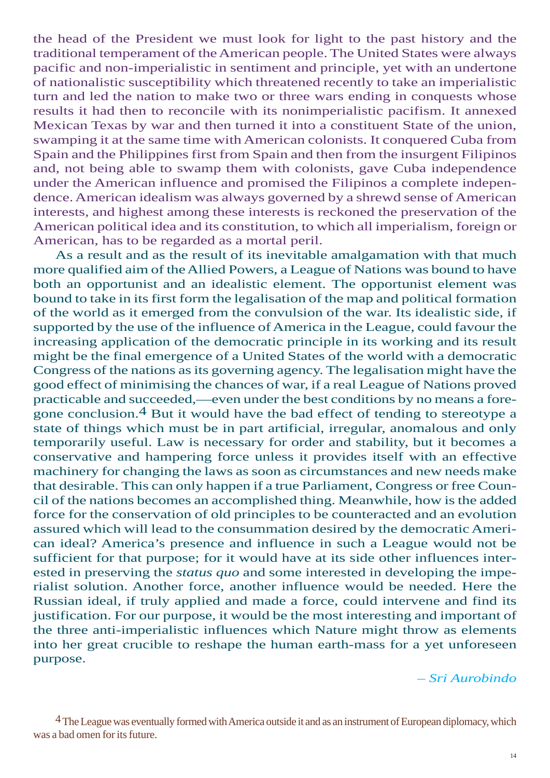the head of the President we must look for light to the past history and the traditional temperament of the American people. The United States were always pacific and non-imperialistic in sentiment and principle, yet with an undertone of nationalistic susceptibility which threatened recently to take an imperialistic turn and led the nation to make two or three wars ending in conquests whose results it had then to reconcile with its nonimperialistic pacifism. It annexed Mexican Texas by war and then turned it into a constituent State of the union, swamping it at the same time with American colonists. It conquered Cuba from Spain and the Philippines first from Spain and then from the insurgent Filipinos and, not being able to swamp them with colonists, gave Cuba independence under the American influence and promised the Filipinos a complete independence. American idealism was always governed by a shrewd sense of American interests, and highest among these interests is reckoned the preservation of the American political idea and its constitution, to which all imperialism, foreign or American, has to be regarded as a mortal peril.

As a result and as the result of its inevitable amalgamation with that much more qualified aim of the Allied Powers, a League of Nations was bound to have both an opportunist and an idealistic element. The opportunist element was bound to take in its first form the legalisation of the map and political formation of the world as it emerged from the convulsion of the war. Its idealistic side, if supported by the use of the influence of America in the League, could favour the increasing application of the democratic principle in its working and its result might be the final emergence of a United States of the world with a democratic Congress of the nations as its governing agency. The legalisation might have the good effect of minimising the chances of war, if a real League of Nations proved practicable and succeeded,—even under the best conditions by no means a foregone conclusion.4 But it would have the bad effect of tending to stereotype a state of things which must be in part artificial, irregular, anomalous and only temporarily useful. Law is necessary for order and stability, but it becomes a conservative and hampering force unless it provides itself with an effective machinery for changing the laws as soon as circumstances and new needs make that desirable. This can only happen if a true Parliament, Congress or free Council of the nations becomes an accomplished thing. Meanwhile, how is the added force for the conservation of old principles to be counteracted and an evolution assured which will lead to the consummation desired by the democratic American ideal? America's presence and influence in such a League would not be sufficient for that purpose; for it would have at its side other influences interested in preserving the *status quo* and some interested in developing the imperialist solution. Another force, another influence would be needed. Here the Russian ideal, if truly applied and made a force, could intervene and find its justification. For our purpose, it would be the most interesting and important of the three anti-imperialistic influences which Nature might throw as elements into her great crucible to reshape the human earth-mass for a yet unforeseen purpose.

### – *Sri Aurobindo*

<sup>&</sup>lt;sup>4</sup> The League was eventually formed with America outside it and as an instrument of European diplomacy, which was a bad omen for its future.